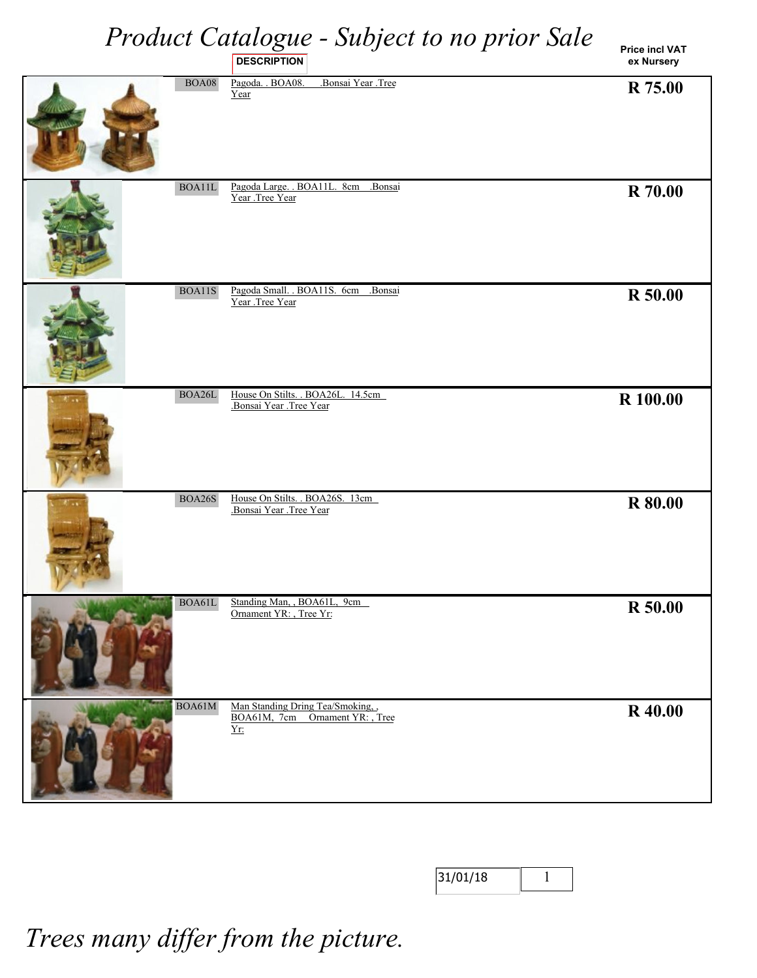|               | Product Catalogue - Subject to no prior Sale<br><b>DESCRIPTION</b>       | <b>Price incl VAT</b><br>ex Nursery |
|---------------|--------------------------------------------------------------------------|-------------------------------------|
| <b>BOA08</b>  | Bonsai Year .Tree<br>Pagoda. . BOA08.<br>Year                            | R 75.00                             |
| BOA11L        | Pagoda Large. . BOA11L. 8cm<br>.Bonsai<br>Year .Tree Year                | <b>R</b> 70.00                      |
| BOA11S        | Pagoda Small. . BOA11S. 6cm<br>Bonsai<br>Year .Tree Year                 | R 50.00                             |
| BOA26L        | House On Stilts. . BOA26L. 14.5cm<br>Bonsai Year .Tree Year              | R 100.00                            |
| <b>BOA26S</b> | House On Stilts. . BOA26S. 13cm<br>Bonsai Year Tree Year                 | <b>R</b> 80.00                      |
| BOA61L        | Standing Man, , BOA61L, 9cm<br>Ornament YR: , Tree Yr:                   | R 50.00                             |
| BOA61M        | Man Standing Dring Tea/Smoking,<br>BOA61M, 7cm Ornament YR:, Tree<br>Yr: | <b>R</b> 40.00                      |

| 31/01/18 |  |
|----------|--|
|          |  |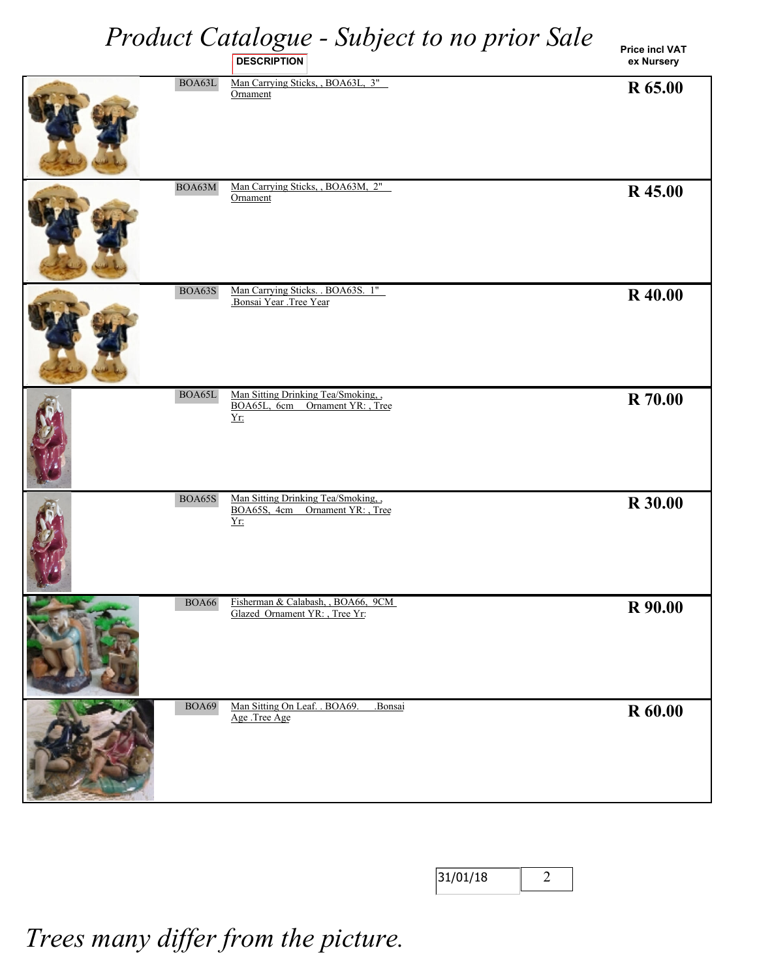**Price incl VAT ex Nursery**

|               | <b>DESCRIPTION</b>                                                             | ex Nursery     |
|---------------|--------------------------------------------------------------------------------|----------------|
| BOA63L        | Man Carrying Sticks, BOA63L, 3"<br>Ornament                                    | R 65.00        |
| BOA63M        | Man Carrying Sticks, , BOA63M, 2"<br>Ornament                                  | R 45.00        |
| BOA63S        | Man Carrying Sticks. . BOA63S. 1"<br>Bonsai Year Tree Year                     | <b>R</b> 40.00 |
| BOA65L        | Man Sitting Drinking Tea/Smoking.<br>BOA65L, 6cm Ornament YR: , Tree<br>Yr     | <b>R</b> 70.00 |
| <b>BOA65S</b> | Man Sitting Drinking Tea/Smoking,<br>BOA65S, 4cm Ornament YR: , Tree<br>$Yr$ : | <b>R</b> 30.00 |
| <b>BOA66</b>  | Fisherman & Calabash, , BOA66, 9CM<br>Glazed Ornament YR: , Tree Yr:           | R 90.00        |
| <b>BOA69</b>  | Man Sitting On Leaf. . BOA69.<br>.Bonsai<br>Age .Tree Age                      | <b>R</b> 60.00 |

| 31/01/18 |  |
|----------|--|
|----------|--|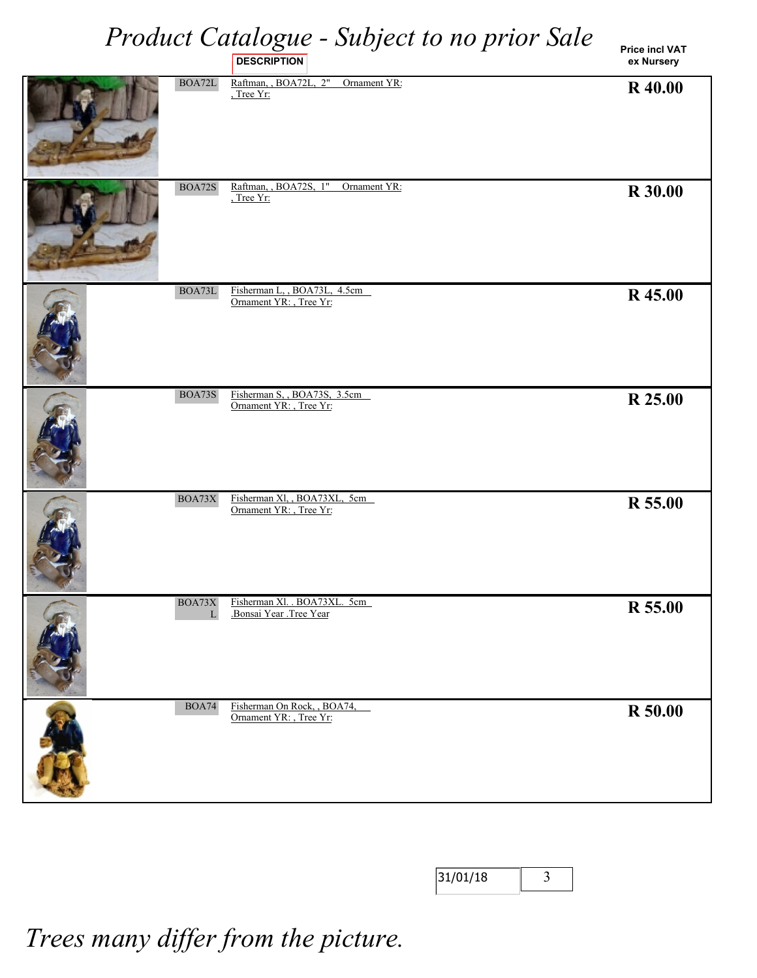**Price incl VAT ex Nursery**

|               | <b>DESCRIPTION</b>                                     | ex Nursery     |
|---------------|--------------------------------------------------------|----------------|
| BOA72L        | Raftman, BOA72L, 2"<br>Ornament YR:<br>Tree Yr:        | R 40.00        |
| <b>BOA72S</b> | Raftman, BOA72S, 1"<br>Ornament YR:<br>Tree Yr:        | <b>R</b> 30.00 |
| $\rm BOA73L$  | Fisherman L, BOA73L, 4.5cm<br>Ornament YR: , Tree Yr:  | R 45.00        |
| BOA73S        | Fisherman S, BOA73S, 3.5cm<br>Ornament YR: , Tree Yr:  | R 25.00        |
| BOA73X        | Fisherman Xl, BOA73XL, 5cm<br>Ornament YR: , Tree Yr:  | R 55.00        |
| BOA73X<br>L   | Fisherman Xl. . BOA73XL. 5cm<br>Bonsai Year Tree Year  | R 55.00        |
| <b>BOA74</b>  | Fisherman On Rock, , BOA74,<br>Ornament YR: , Tree Yr: | <b>R</b> 50.00 |

| 31/01/18 |  |
|----------|--|
|          |  |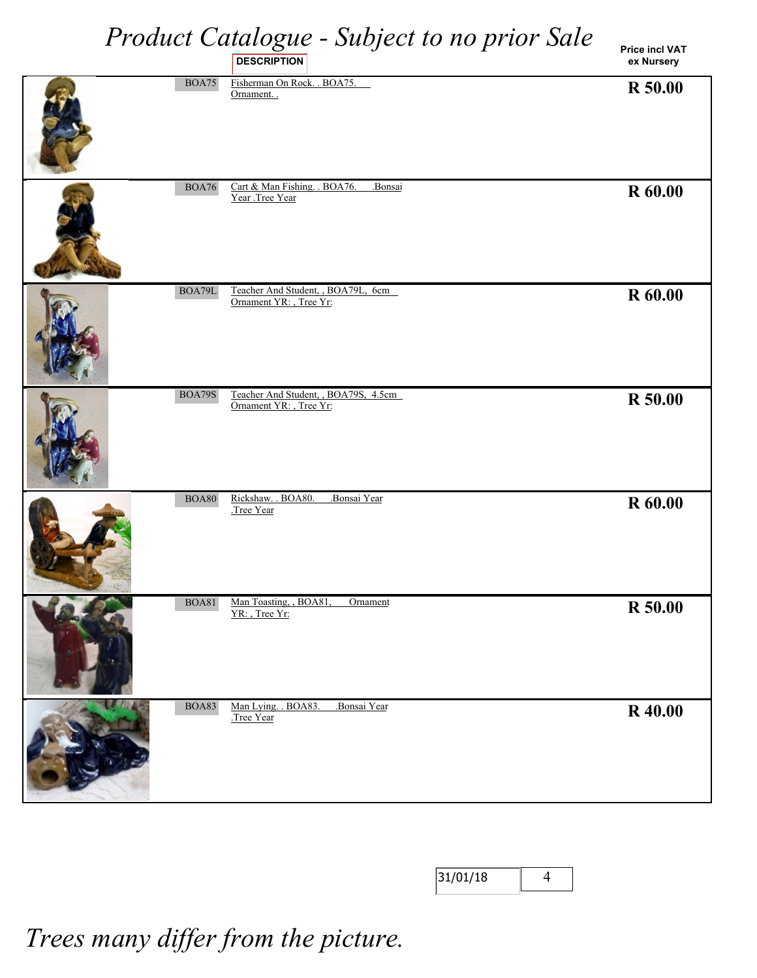|               | Product Catalogue - Subject to no prior Sale<br><b>DESCRIPTION</b> | <b>Price incl VAT</b><br>ex Nursery |
|---------------|--------------------------------------------------------------------|-------------------------------------|
| <b>BOA75</b>  | Fisherman On Rock. . BOA75.<br>Ornament                            | R 50.00                             |
| <b>BOA76</b>  | Cart & Man Fishing. . BOA76.<br>.Bonsai<br>Year .Tree Year         | R 60.00                             |
| BOA79L        | Teacher And Student, BOA79L, 6cm<br>Ornament YR: , Tree Yr:        | R 60.00                             |
| <b>BOA79S</b> | Teacher And Student, BOA79S, 4.5cm<br>Ornament YR: , Tree Yr:      | R 50.00                             |
| <b>BOA80</b>  | Rickshaw. . BOA80.<br>Bonsai Year<br>Tree Year                     | R 60.00                             |
| <b>BOA81</b>  | Man Toasting, , BOA81<br>Ornament<br>YR: Tree Yr:                  | R 50.00                             |
| <b>BOA83</b>  | Man Lying. . BOA83.<br>.Bonsai Year<br>Tree Year                   | <b>R</b> 40.00                      |

| 131/01/18 |  |
|-----------|--|
|           |  |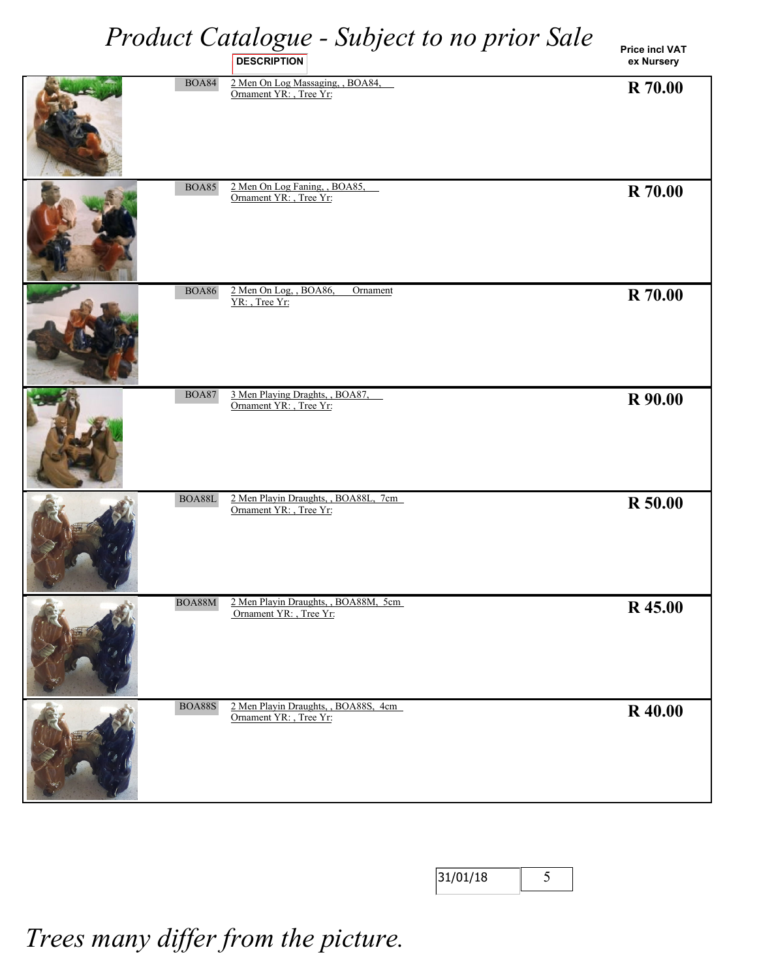**Price incl VAT ex Nursery**

|               | <b>DESCRIPTION</b>                                              | ex Nursery     |
|---------------|-----------------------------------------------------------------|----------------|
| <b>BOA84</b>  | 2 Men On Log Massaging, , BOA84,<br>Ornament YR: , Tree Yr:     | <b>R</b> 70.00 |
| <b>BOA85</b>  | 2 Men On Log Faning, , BOA85,<br>Ornament YR: , Tree Yr:        | <b>R</b> 70.00 |
| $\rm BOA86$   | 2 Men On Log, , BOA86,<br>Ornament<br>YR: Tree Yr:              | <b>R</b> 70.00 |
| <b>BOA87</b>  | 3 Men Playing Draghts, , BOA87,<br>Ornament YR: , Tree Yr:      | R 90.00        |
| $\rm BOA88L$  | 2 Men Playin Draughts, , BOA88L, 7cm<br>Ornament YR: , Tree Yr: | <b>R</b> 50.00 |
| BOA88M        | 2 Men Playin Draughts, , BOA88M, 5cm<br>Ornament YR: , Tree Yr: | R 45.00        |
| <b>BOA88S</b> | 2 Men Playin Draughts, , BOA88S, 4cm<br>Ornament YR: , Tree Yr: | <b>R</b> 40.00 |

| 31/01/18 |  |
|----------|--|
|----------|--|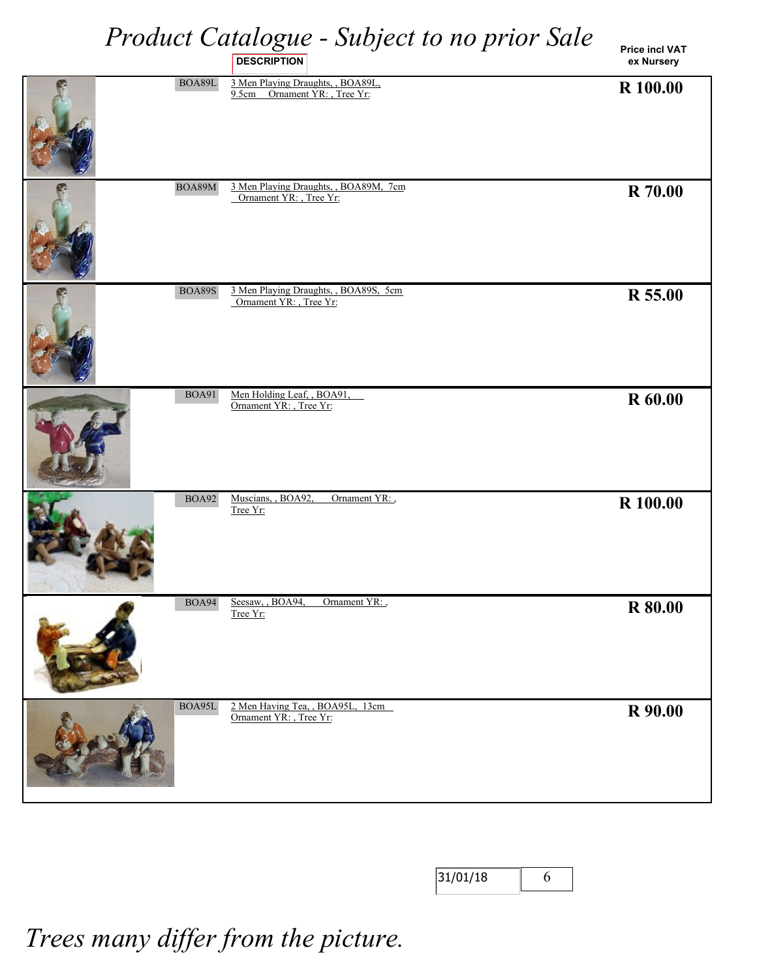**Price incl VAT ex Nursery**

|               | <b>DESCRIPTION</b>                                                 | ex Nursery     |
|---------------|--------------------------------------------------------------------|----------------|
| $\rm BOA89L$  | 3 Men Playing Draughts, , BOA89L,<br>9.5cm Ornament YR: , Tree Yr: | R 100.00       |
| BOA89M        | 3 Men Playing Draughts, , BOA89M, 7cm<br>Ornament YR: , Tree Yr:   | <b>R</b> 70.00 |
| <b>BOA89S</b> | 3 Men Playing Draughts, , BOA89S, 5cm<br>Ornament YR: , Tree Yr:   | R 55.00        |
| <b>BOA91</b>  | Men Holding Leaf, , BOA91,<br>Ornament YR: , Tree Yr:              | <b>R</b> 60.00 |
| <b>BOA92</b>  | Muscians, BOA92,<br>Ornament YR:<br>Tree Yr:                       | R 100.00       |
| <b>BOA94</b>  | Seesaw, BOA94,<br>Ornament YR:<br>Tree Yr:                         | R 80.00        |
| BOA95L        | 2 Men Having Tea, , BOA95L, 13cm<br>Ornament YR: , Tree Yr:        | R 90.00        |

| 31/01/18 |  |
|----------|--|
|----------|--|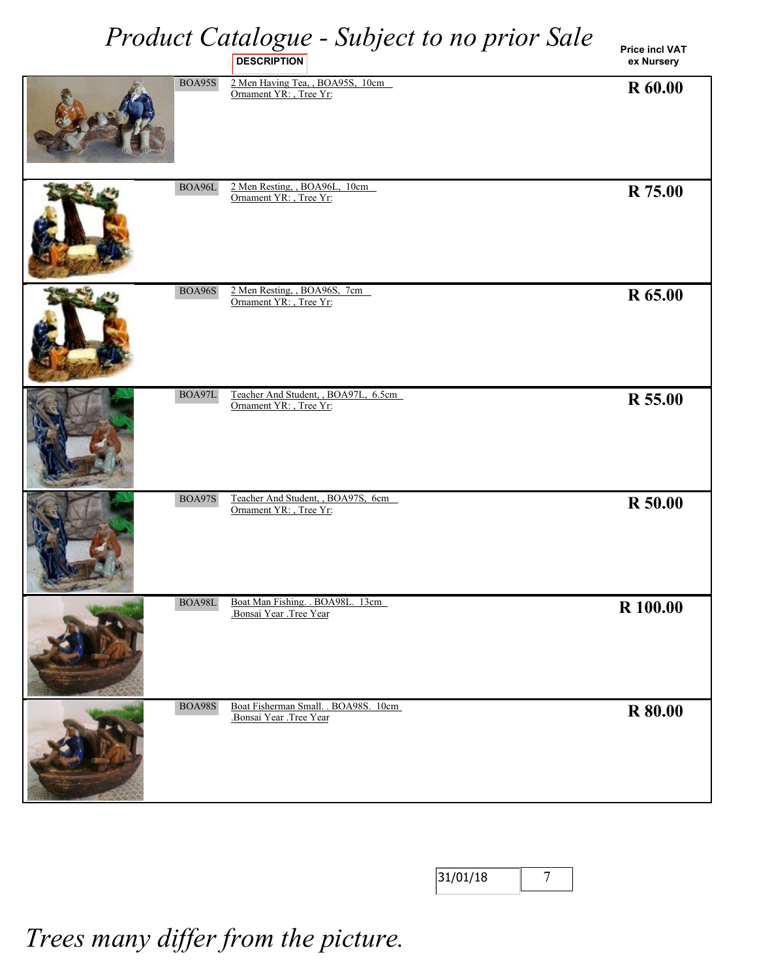#### *Product Catalogue - Subject to no prior Sale* **DESCRIPTION**

**Price incl VAT ex Nursery**

| BOA95S        | 2 Men Having Tea, BOA95S, 10cm<br>Ornament YR: , Tree Yr:     | R 60.00        |
|---------------|---------------------------------------------------------------|----------------|
| $\rm BOA96L$  | 2 Men Resting, BOA96L, 10cm<br>Ornament YR: , Tree Yr:        | R 75.00        |
| BOA96S        | 2 Men Resting, BOA96S, 7cm<br>Ornament YR: , Tree Yr:         | R 65.00        |
| $\rm BOA97L$  | Teacher And Student, BOA97L, 6.5cm<br>Ornament YR: , Tree Yr: | R 55.00        |
| <b>BOA97S</b> | Teacher And Student, BOA97S, 6cm<br>Ornament YR: , Tree Yr:   | R 50.00        |
| BOA98L        | Boat Man Fishing. . BOA98L. 13cm<br>Bonsai Year Tree Year     | R 100.00       |
| <b>BOA98S</b> | Boat Fisherman Small. . BOA98S. 10cm<br>Bonsai Year Tree Year | <b>R</b> 80.00 |

| 31/01/18 |  |
|----------|--|
|----------|--|